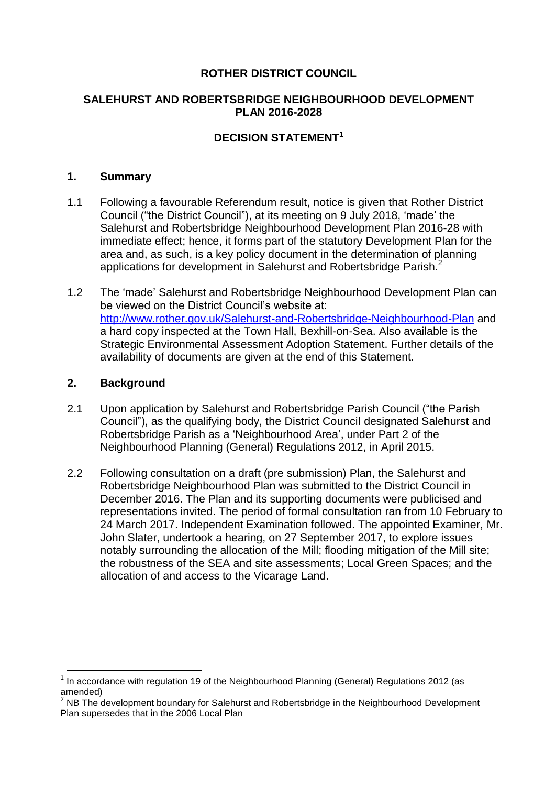## **ROTHER DISTRICT COUNCIL**

## **SALEHURST AND ROBERTSBRIDGE NEIGHBOURHOOD DEVELOPMENT PLAN 2016-2028**

# **DECISION STATEMENT 1**

### **1. Summary**

- 1.1 Following a favourable Referendum result, notice is given that Rother District Council ("the District Council"), at its meeting on 9 July 2018, "made" the Salehurst and Robertsbridge Neighbourhood Development Plan 2016-28 with immediate effect; hence, it forms part of the statutory Development Plan for the area and, as such, is a key policy document in the determination of planning applications for development in Salehurst and Robertsbridge Parish.<sup>2</sup>
- 1.2 The "made" Salehurst and Robertsbridge Neighbourhood Development Plan can be viewed on the District Council's website at: <http://www.rother.gov.uk/Salehurst-and-Robertsbridge-Neighbourhood-Plan> and a hard copy inspected at the Town Hall, Bexhill-on-Sea. Also available is the Strategic Environmental Assessment Adoption Statement. Further details of the availability of documents are given at the end of this Statement.

#### **2. Background**

**.** 

- 2.1 Upon application by Salehurst and Robertsbridge Parish Council ("the Parish Council"), as the qualifying body, the District Council designated Salehurst and Robertsbridge Parish as a "Neighbourhood Area", under Part 2 of the Neighbourhood Planning (General) Regulations 2012, in April 2015.
- 2.2 Following consultation on a draft (pre submission) Plan, the Salehurst and Robertsbridge Neighbourhood Plan was submitted to the District Council in December 2016. The Plan and its supporting documents were publicised and representations invited. The period of formal consultation ran from 10 February to 24 March 2017. Independent Examination followed. The appointed Examiner, Mr. John Slater, undertook a hearing, on 27 September 2017, to explore issues notably surrounding the allocation of the Mill; flooding mitigation of the Mill site; the robustness of the SEA and site assessments; Local Green Spaces; and the allocation of and access to the Vicarage Land.

 $1$  In accordance with regulation 19 of the Neighbourhood Planning (General) Regulations 2012 (as amended)

 $2$  NB The development boundary for Salehurst and Robertsbridge in the Neighbourhood Development Plan supersedes that in the 2006 Local Plan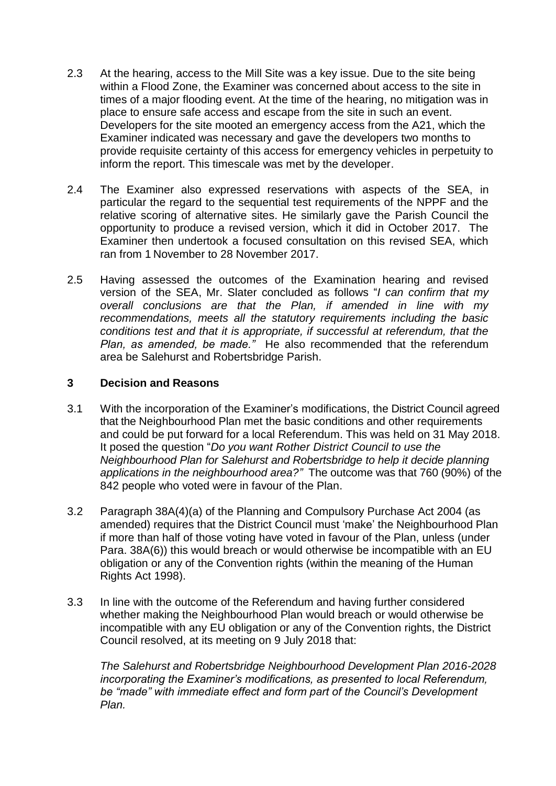- 2.3 At the hearing, access to the Mill Site was a key issue. Due to the site being within a Flood Zone, the Examiner was concerned about access to the site in times of a major flooding event. At the time of the hearing, no mitigation was in place to ensure safe access and escape from the site in such an event. Developers for the site mooted an emergency access from the A21, which the Examiner indicated was necessary and gave the developers two months to provide requisite certainty of this access for emergency vehicles in perpetuity to inform the report. This timescale was met by the developer.
- 2.4 The Examiner also expressed reservations with aspects of the SEA, in particular the regard to the sequential test requirements of the NPPF and the relative scoring of alternative sites. He similarly gave the Parish Council the opportunity to produce a revised version, which it did in October 2017. The Examiner then undertook a focused consultation on this revised SEA, which ran from 1 November to 28 November 2017.
- 2.5 Having assessed the outcomes of the Examination hearing and revised version of the SEA, Mr. Slater concluded as follows "*I can confirm that my overall conclusions are that the Plan, if amended in line with my recommendations, meets all the statutory requirements including the basic conditions test and that it is appropriate, if successful at referendum, that the Plan, as amended, be made."* He also recommended that the referendum area be Salehurst and Robertsbridge Parish.

## **3 Decision and Reasons**

- 3.1 With the incorporation of the Examiner"s modifications, the District Council agreed that the Neighbourhood Plan met the basic conditions and other requirements and could be put forward for a local Referendum. This was held on 31 May 2018. It posed the question "*Do you want Rother District Council to use the Neighbourhood Plan for Salehurst and Robertsbridge to help it decide planning applications in the neighbourhood area?"* The outcome was that 760 (90%) of the 842 people who voted were in favour of the Plan.
- 3.2 Paragraph 38A(4)(a) of the Planning and Compulsory Purchase Act 2004 (as amended) requires that the District Council must "make" the Neighbourhood Plan if more than half of those voting have voted in favour of the Plan, unless (under Para. 38A(6)) this would breach or would otherwise be incompatible with an EU obligation or any of the Convention rights (within the meaning of the Human Rights Act 1998).
- 3.3 In line with the outcome of the Referendum and having further considered whether making the Neighbourhood Plan would breach or would otherwise be incompatible with any EU obligation or any of the Convention rights, the District Council resolved, at its meeting on 9 July 2018 that:

*The Salehurst and Robertsbridge Neighbourhood Development Plan 2016-2028 incorporating the Examiner's modifications, as presented to local Referendum, be "made" with immediate effect and form part of the Council's Development Plan.*